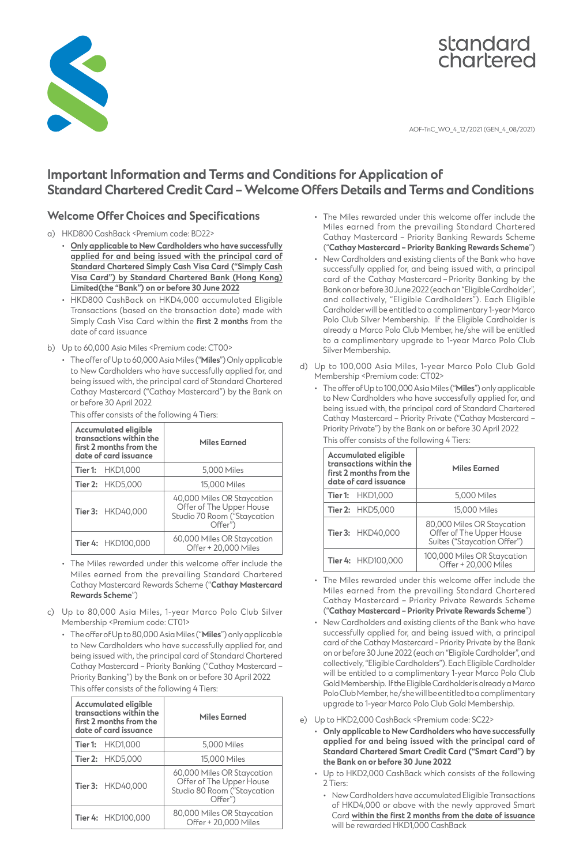



AOF-TnC\_WO\_4\_12/2021 (GEN\_4\_08/2021)

# **Important Information and Terms and Conditions for Application of Standard Chartered Credit Card – Welcome Offers Details and Terms and Conditions**

### **Welcome Offer Choices and Specifications**

- a) HKD800 CashBack <Premium code: BD22>
	- **Only applicable to New Cardholders who have successfully applied for and being issued with the principal card of Standard Chartered Simply Cash Visa Card ("Simply Cash Visa Card") by Standard Chartered Bank (Hong Kong) Limited(the "Bank") on or before 30 June 2022**
	- HKD800 CashBack on HKD4,000 accumulated Eligible Transactions (based on the transaction date) made with Simply Cash Visa Card within the **first 2 months** from the date of card issuance
- b) Up to 60,000 Asia Miles <Premium code: CT00>
	- • The offer of Up to 60,000 Asia Miles ("**Miles**") Only applicable to New Cardholders who have successfully applied for, and being issued with, the principal card of Standard Chartered Cathay Mastercard ("Cathay Mastercard") by the Bank on or before 30 April 2022

| <b>Accumulated eligible</b><br>transactions within the<br>first 2 months from the<br>date of card issuance |                         | <b>Miles Earned</b>                                                                              |
|------------------------------------------------------------------------------------------------------------|-------------------------|--------------------------------------------------------------------------------------------------|
|                                                                                                            | <b>Tier 1: HKD1,000</b> | 5,000 Miles                                                                                      |
|                                                                                                            | <b>Tier 2: HKD5,000</b> | 15,000 Miles                                                                                     |
|                                                                                                            | Tier 3: HKD40,000       | 40,000 Miles OR Staycation<br>Offer of The Upper House<br>Studio 70 Room ("Staycation<br>Offer") |
|                                                                                                            | Tier 4: HKD100,000      | 60,000 Miles OR Staycation<br>Offer + 20,000 Miles                                               |

 This offer consists of the following 4 Tiers:

- • The Miles rewarded under this welcome offer include the Miles earned from the prevailing Standard Chartered Cathay Mastercard Rewards Scheme ("**Cathay Mastercard Rewards Scheme**")
- c) Up to 80,000 Asia Miles, 1-year Marco Polo Club Silver Membership <Premium code: CT01>
	- • TheofferofUpto80,000AsiaMiles ("**Miles**")onlyapplicable to New Cardholders who have successfully applied for, and being issued with, the principal card of Standard Chartered Cathay Mastercard – Priority Banking ("Cathay Mastercard – Priority Banking") by the Bank on or before 30 April 2022 This offer consists of the following 4 Tiers:

| <b>Accumulated eligible</b><br>transactions within the<br>first 2 months from the<br>date of card issuance |                         | <b>Miles Earned</b>                                                                              |
|------------------------------------------------------------------------------------------------------------|-------------------------|--------------------------------------------------------------------------------------------------|
|                                                                                                            | <b>Tier 1: HKD1.000</b> | 5,000 Miles                                                                                      |
|                                                                                                            | Tier 2: HKD5,000        | 15,000 Miles                                                                                     |
|                                                                                                            | Tier 3: HKD40,000       | 60,000 Miles OR Staycation<br>Offer of The Upper House<br>Studio 80 Room ("Staycation<br>Offer") |
|                                                                                                            | Tier 4: HKD100,000      | 80,000 Miles OR Staycation<br>Offer + 20,000 Miles                                               |

- • The Miles rewarded under this welcome offer include the Miles earned from the prevailing Standard Chartered Cathay Mastercard – Priority Banking Rewards Scheme ("**Cathay Mastercard – Priority Banking Rewards Scheme**")
- New Cardholders and existing clients of the Bank who have successfully applied for, and being issued with, a principal card of the Cathay Mastercard – Priority Banking by the Bankonorbefore30June2022(eachan"EligibleCardholder", and collectively, "Eligible Cardholders"). Each Eligible Cardholder will be entitled to a complimentary 1-year Marco Polo Club Silver Membership. If the Eligible Cardholder is already a Marco Polo Club Member, he/she will be entitled to a complimentary upgrade to 1-year Marco Polo Club Silver Membership.
- d) Up to 100,000 Asia Miles, 1-year Marco Polo Club Gold Membership <Premium code: CT02>
	- • TheofferofUpto100,000AsiaMiles ("**Miles**")onlyapplicable to New Cardholders who have successfully applied for, and being issued with, the principal card of Standard Chartered Cathay Mastercard – Priority Private ("Cathay Mastercard – Priority Private") by the Bank on or before 30 April 2022 This offer consists of the following 4 Tiers:

| <b>Accumulated eligible</b><br>transactions within the<br>first 2 months from the<br>date of card issuance | <b>Miles Earned</b>                                                                   |
|------------------------------------------------------------------------------------------------------------|---------------------------------------------------------------------------------------|
| <b>Tier 1: HKD1,000</b>                                                                                    | 5,000 Miles                                                                           |
| Tier 2: HKD5,000                                                                                           | 15,000 Miles                                                                          |
| <b>Tier 3: HKD40.000</b>                                                                                   | 80,000 Miles OR Staycation<br>Offer of The Upper House<br>Suites ("Staycation Offer") |
| Tier 4: HKD100,000                                                                                         | 100,000 Miles OR Staycation<br>Offer + 20.000 Miles                                   |

- • The Miles rewarded under this welcome offer include the Miles earned from the prevailing Standard Chartered Cathay Mastercard – Priority Private Rewards Scheme ("**Cathay Mastercard – Priority Private Rewards Scheme**")
- New Cardholders and existing clients of the Bank who have successfully applied for, and being issued with, a principal card of the Cathay Mastercard - Priority Private by the Bank on or before 30 June 2022 (each an "Eligible Cardholder", and collectively,"EligibleCardholders"). Each EligibleCardholder will be entitled to a complimentary 1-year Marco Polo Club Gold Membership. If the Eligible Cardholder is already a Marco Polo Club Member, he/she will be entitled to a complimentary upgrade to 1-year Marco Polo Club Gold Membership.
- e) Up to HKD2,000 CashBack <Premium code: SC22>
	- **Only applicable to New Cardholders who have successfully applied for and being issued with the principal card of Standard Chartered Smart Credit Card ("Smart Card") by the Bank on or before 30 June 2022**
	- • Up to HKD2,000 CashBack which consists of the following 2 Tiers:
		- • New Cardholders have accumulated Eligible Transactions of HKD4,000 or above with the newly approved Smart Card **within the first 2 months from the date of issuance** will be rewarded HKD1,000 CashBack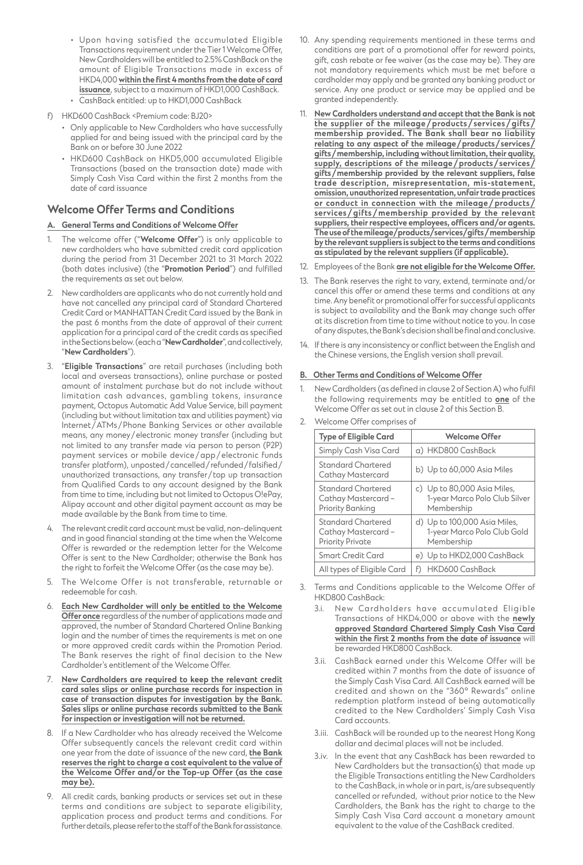- • Upon having satisfied the accumulated Eligible Transactions requirement under the Tier 1 Welcome Offer, New Cardholders will be entitled to 2.5% CashBack on the amount of Eligible Transactions made in excess of HKD4,000 **within the first 4 months from the date of card issuance**, subject to a maximum of HKD1,000 CashBack.
- CashBack entitled: up to HKD1,000 CashBack
- f) HKD600 CashBack <Premium code: BJ20>
	- • Only applicable to New Cardholders who have successfully applied for and being issued with the principal card by the Bank on or before 30 June 2022
	- HKD600 CashBack on HKD5,000 accumulated Eligible Transactions (based on the transaction date) made with Simply Cash Visa Card within the first 2 months from the date of card issuance

## **Welcome Offer Terms and Conditions**

### **A. General Terms and Conditions of Welcome Offer**

- The welcome offer ("Welcome Offer") is only applicable to new cardholders who have submitted credit card application during the period from 31 December 2021 to 31 March 2022 (both dates inclusive) (the "**Promotion Period**") and fulfilled the requirements as set out below.
- 2. New cardholders are applicants who do not currently hold and have not cancelled any principal card of Standard Chartered Credit Card or MANHATTAN Credit Card issued by the Bank in the past 6 months from the date of approval of their current application for a principal card of the credit cards as specified intheSectionsbelow.(eacha"**New Cardholder**",andcollectively, "**New Cardholders**").
- 3. "**Eligible Transactions**" are retail purchases (including both local and overseas transactions), online purchase or posted amount of instalment purchase but do not include without limitation cash advances, gambling tokens, insurance payment, Octopus Automatic Add Value Service, bill payment (including but without limitation tax and utilities payment) via Internet /ATMs / Phone Banking Services or other available means, any money/electronic money transfer (including but not limited to any transfer made via person to person (P2P) payment services or mobile device/app/electronic funds transfer platform), unposted/cancelled/ refunded/ falsified/ unauthorized transactions, any transfer / top up transaction from Qualified Cards to any account designed by the Bank from time to time, including but not limited to Octopus O!ePay, Alipay account and other digital payment account as may be made available by the Bank from time to time.
- The relevant credit card account must be valid, non-delinquent and in good financial standing at the time when the Welcome Offer is rewarded or the redemption letter for the Welcome Offer is sent to the New Cardholder; otherwise the Bank has the right to forfeit the Welcome Offer (as the case may be).
- 5. The Welcome Offer is not transferable, returnable or redeemable for cash.
- 6. **Each New Cardholder will only be entitled to the Welcome Offer once** regardless of the number of applications made and approved, the number of Standard Chartered Online Banking login and the number of times the requirements is met on one or more approved credit cards within the Promotion Period. The Bank reserves the right of final decision to the New Cardholder's entitlement of the Welcome Offer.
- New Cardholders are required to keep the relevant credit **card sales slips or online purchase records for inspection in case of transaction disputes for investigation by the Bank. Sales slips or online purchase records submitted to the Bank for inspection or investigation will not be returned.**
- 8. If a New Cardholder who has already received the Welcome Offer subsequently cancels the relevant credit card within one year from the date of issuance of the new card, **the Bank reserves the right to charge a cost equivalent to the value of the Welcome Offer and/or the Top-up Offer (as the case may be).**
- 9. All credit cards, banking products or services set out in these terms and conditions are subject to separate eligibility, application process and product terms and conditions. For further details, please refer to the staff of the Bank for assistance.
- 10. Any spending requirements mentioned in these terms and conditions are part of a promotional offer for reward points, gift, cash rebate or fee waiver (as the case may be). They are not mandatory requirements which must be met before a cardholder may apply and be granted any banking product or service. Any one product or service may be applied and be granted independently.
- 11. New Cardholders understand and accept that the Bank is not **the supplier of the mileage /products / services /gifts / membership provided. The Bank shall bear no liability relating to any aspect of the mileage /products /services/ gifts/membership, including without limitation, their quality, supply, descriptions of the mileage /products /services / gifts/membership provided by the relevant suppliers, false trade description, misrepresentation, mis-statement, omission, unauthorized representation, unfair trade practices or conduct in connection with the mileage /products / services / gifts / membership provided by the relevant suppliers, their respective employees, officers and/or agents. The use of the mileage/products/services/gifts/membership by the relevant suppliers is subject to the terms and conditions as stipulated by the relevant suppliers (if applicable).**
- 12. Employees of the Bank are not eligible for the Welcome Offer.
- 13. The Bank reserves the right to vary, extend, terminate and/or cancel this offer or amend these terms and conditions at any time. Any benefit or promotional offer for successful applicants is subject to availability and the Bank may change such offer at its discretion from time to time without notice to you. In case of any disputes, the Bank's decision shall be final and conclusive.
- 14. If there is any inconsistency or conflict between the English and the Chinese versions, the English version shall prevail.

### **B. Other Terms and Conditions of Welcome Offer**

New Cardholders (as defined in clause 2 of Section A) who fulfil the following requirements may be entitled to **one** of the Welcome Offer as set out in clause 2 of this Section B.

| <b>Type of Eligible Card</b>                                         | <b>Welcome Offer</b>                                                       |
|----------------------------------------------------------------------|----------------------------------------------------------------------------|
| Simply Cash Visa Card                                                | a) HKD800 CashBack                                                         |
| Standard Chartered<br>Cathay Mastercard                              | b) Up to 60,000 Asia Miles                                                 |
| Standard Chartered<br>Cathay Mastercard -<br>Priority Banking        | c) Up to 80,000 Asia Miles,<br>1-year Marco Polo Club Silver<br>Membership |
| Standard Chartered<br>Cathay Mastercard -<br><b>Priority Private</b> | d) Up to 100,000 Asia Miles,<br>1-year Marco Polo Club Gold<br>Membership  |
| <b>Smart Credit Card</b>                                             | e) Up to HKD2,000 CashBack                                                 |
| All types of Eligible Card                                           | HKD600 CashBack<br>F)                                                      |

Welcome Offer comprises of

- Terms and Conditions applicable to the Welcome Offer of HKD800 CashBack:
	- 3.i. New Cardholders have accumulated Eligible Transactions of HKD4,000 or above with the **newly approved Standard Chartered Simply Cash Visa Card within the first 2 months from the date of issuance** will be rewarded HKD800 CashBack.
	- 3.ii. CashBack earned under this Welcome Offer will be credited within 7 months from the date of issuance of the Simply Cash Visa Card. All CashBack earned will be credited and shown on the "360° Rewards" online redemption platform instead of being automatically credited to the New Cardholders' Simply Cash Visa Card accounts.
	- 3.iii. CashBack will be rounded up to the nearest Hong Kong dollar and decimal places will not be included.
	- 3.iv. In the event that any CashBack has been rewarded to New Cardholders but the transaction(s) that made up the Eligible Transactions entitling the New Cardholders to the CashBack, in whole orin part, is/are subsequently cancelled or refunded, without prior notice to the New Cardholders, the Bank has the right to charge to the Simply Cash Visa Card account a monetary amount equivalent to the value of the CashBack credited.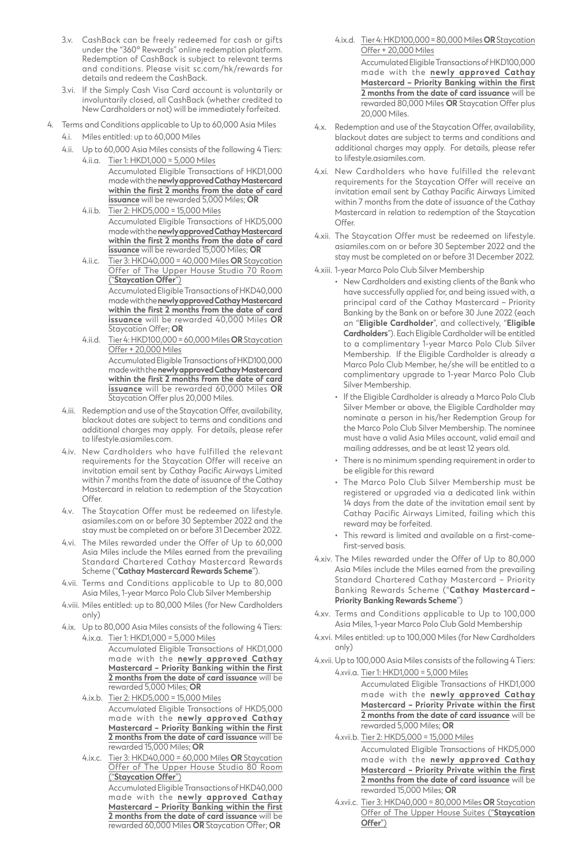- 3.v. CashBack can be freely redeemed for cash or gifts under the "360° Rewards" online redemption platform. Redemption of CashBack is subject to relevant terms and conditions. Please visit sc.com/hk/rewards for details and redeem the CashBack.
- 3.vi. If the Simply Cash Visa Card account is voluntarily or involuntarily closed, all CashBack (whether credited to New Cardholders or not) will be immediately forfeited.
- 4. Terms and Conditions applicable to Up to 60,000 Asia Miles 4.i. Miles entitled: up to 60,000 Miles
	- 4.ii. Up to 60,000 Asia Miles consists of the following 4 Tiers:
		- 4.ii.a. Tier 1: HKD1,000 = 5,000 Miles Accumulated Eligible Transactions of HKD1,000 made with the newly approved Cathay Mastercard **within the first 2 months from the date of card issuance** will be rewarded 5,000 Miles; **OR**
		- 4.ii.b. Tier 2: HKD5,000 = 15,000 Miles Accumulated Eligible Transactions of HKD5,000 madewiththe**newly approved Cathay Mastercard within the first 2 months from the date of card issuance** will be rewarded 15,000 Miles; **OR**
		- 4.ii.c. Tier 3: HKD40,000 = 40,000 Miles **OR** Staycation Offer of The Upper House Studio 70 Room ("**Staycation Offer**")

Accumulated Eligible Transactions of HKD40,000 madewiththe**newly approved Cathay Mastercard within the first 2 months from the date of card issuance** will be rewarded 40,000 Miles **OR** Staycation Offer; **OR**

- 4.ii.d. Tier 4: HKD100,000 = 60,000 Miles **OR** Staycation Offer + 20,000 Miles Accumulated Eligible Transactions of HKD100,000 madewiththe**newly approved Cathay Mastercard within the first 2 months from the date of card issuance** will be rewarded 60,000 Miles **OR** Staycation Offer plus 20,000 Miles.
- 4.iii. Redemption and use of the Staycation Offer, availability, blackout dates are subject to terms and conditions and additional charges may apply. For details, please refer to lifestyle.asiamiles.com.
- 4.iv. New Cardholders who have fulfilled the relevant requirements for the Staycation Offer will receive an invitation email sent by Cathay Pacific Airways Limited within 7 months from the date of issuance of the Cathay Mastercard in relation to redemption of the Staycation Offer.
- 4.v. The Staycation Offer must be redeemed on lifestyle. asiamiles.com on or before 30 September 2022 and the stay must be completed on or before 31 December 2022.
- 4.vi. The Miles rewarded under the Offer of Up to 60,000 Asia Miles include the Miles earned from the prevailing Standard Chartered Cathay Mastercard Rewards Scheme ("**Cathay Mastercard Rewards Scheme**").
- 4.vii. Terms and Conditions applicable to Up to 80,000 Asia Miles, 1-year Marco Polo Club Silver Membership
- 4.viii. Miles entitled: up to 80,000 Miles (for New Cardholders only)
- 4.ix. Up to 80,000 Asia Miles consists of the following 4 Tiers: 4.ix.a. Tier 1: HKD1,000 = 5,000 Miles
	- Accumulated Eligible Transactions of HKD1,000 made with the **newly approved Cathay Mastercard – Priority Banking within the first 2 months from the date of card issuance** will be rewarded 5,000 Miles; **OR**
	- 4.ix.b. Tier 2: HKD5,000 = 15,000 Miles Accumulated Eligible Transactions of HKD5,000 made with the **newly approved Cathay Mastercard – Priority Banking within the first 2 months from the date of card issuance** will be rewarded 15,000 Miles; **OR**
	- 4.ix.c. Tier 3: HKD40,000 = 60,000 Miles **OR** Staycation Offer of The Upper House Studio 80 Room ("**Staycation Offer**")

Accumulated Eligible Transactions of HKD40,000 made with the **newly approved Cathay Mastercard – Priority Banking within the first 2 months from the date of card issuance** will be rewarded 60,000 Miles **OR** Staycation Offer; **OR**

- 4.ix.d. Tier 4: HKD100,000 = 80,000 Miles **OR** Staycation Offer + 20,000 Miles Accumulated Eligible Transactions of HKD100,000 made with the **newly approved Cathay Mastercard – Priority Banking within the first 2 months from the date of card issuance** will be rewarded 80,000 Miles **OR** Staycation Offer plus 20,000 Miles.
- 4.x. Redemption and use of the Staycation Offer, availability, blackout dates are subject to terms and conditions and additional charges may apply. For details, please refer to lifestyle.asiamiles.com.
- 4.xi. New Cardholders who have fulfilled the relevant requirements for the Staycation Offer will receive an invitation email sent by Cathay Pacific Airways Limited within 7 months from the date of issuance of the Cathay Mastercard in relation to redemption of the Staycation Offer
- 4.xii. The Staycation Offer must be redeemed on lifestyle. asiamiles.com on or before 30 September 2022 and the stay must be completed on or before 31 December 2022.
- 4.xiii. 1-year Marco Polo Club Silver Membership
	- • New Cardholders and existing clients of the Bank who have successfully applied for, and being issued with, a principal card of the Cathay Mastercard – Priority Banking by the Bank on or before 30 June 2022 (each an "**Eligible Cardholder**", and collectively, "**Eligible Cardholders**"). Each Eligible Cardholder will be entitled to a complimentary 1-year Marco Polo Club Silver Membership. If the Eligible Cardholder is already a Marco Polo Club Member, he/she will be entitled to a complimentary upgrade to 1-year Marco Polo Club Silver Membership.
		- • If the Eligible Cardholder is already a Marco Polo Club Silver Member or above, the Eligible Cardholder may nominate a person in his/her Redemption Group for the Marco Polo Club Silver Membership. The nominee must have a valid Asia Miles account, valid email and mailing addresses, and be at least 12 years old.
		- • There is no minimum spending requirement in order to be eligible for this reward
		- • The Marco Polo Club Silver Membership must be registered or upgraded via a dedicated link within 14 days from the date of the invitation email sent by Cathay Pacific Airways Limited, failing which this reward may be forfeited.
		- • This reward is limited and available on a first-comefirst-served basis.
- 4.xiv. The Miles rewarded under the Offer of Up to 80,000 Asia Miles include the Miles earned from the prevailing Standard Chartered Cathay Mastercard – Priority Banking Rewards Scheme ("**Cathay Mastercard – Priority Banking Rewards Scheme**")
- 4.xv. Terms and Conditions applicable to Up to 100,000 Asia Miles, 1-year Marco Polo Club Gold Membership
- 4.xvi. Miles entitled: up to 100,000 Miles (for New Cardholders only)
- 4.xvii. Up to 100,000 Asia Miles consists of the following 4 Tiers: 4.xvii.a. Tier 1: HKD1,000 = 5,000 Miles

Accumulated Eligible Transactions of HKD1,000 made with the **newly approved Cathay Mastercard – Priority Private within the first 2 months from the date of card issuance** will be rewarded 5,000 Miles; **OR**

- 4.xvii.b. Tier 2: HKD5,000 = 15,000 Miles Accumulated Eligible Transactions of HKD5,000 made with the **newly approved Cathay Mastercard – Priority Private within the first 2 months from the date of card issuance** will be rewarded 15,000 Miles; **OR**
- 4.xvii.c. Tier 3: HKD40,000 = 80,000 Miles **OR** Staycation Offer of The Upper House Suites ("**Staycation Offer**")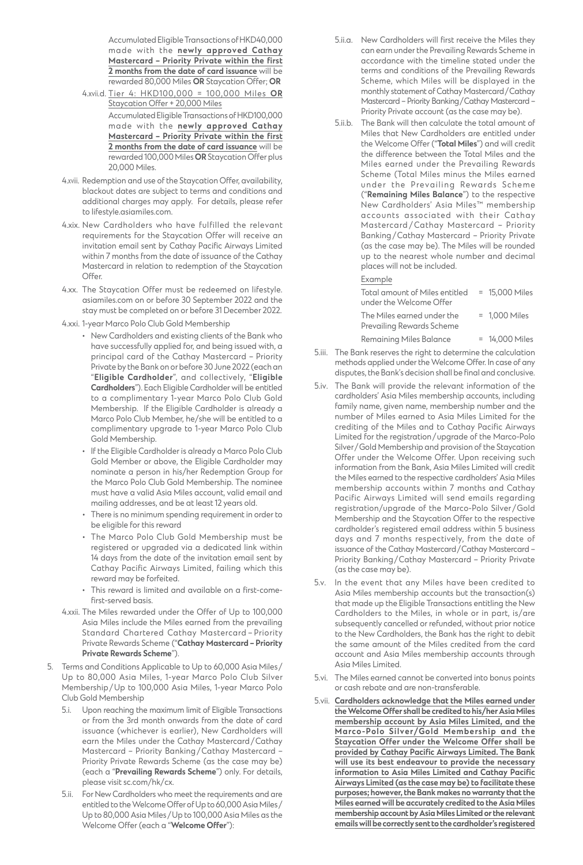Accumulated Eligible Transactions of HKD40,000 made with the **newly approved Cathay Mastercard – Priority Private within the first 2 months from the date of card issuance** will be rewarded 80,000 Miles **OR** Staycation Offer; **OR**

- 4.xvii.d. Tier 4: HKD100,000 = 100,000 Miles **OR** Staycation Offer + 20,000 Miles Accumulated Eligible Transactions of HKD100,000 made with the **newly approved Cathay Mastercard – Priority Private within the first 2 months from the date of card issuance** will be rewarded 100,000 Miles **OR** Staycation Offer plus 20,000 Miles.
- 4.xviii. Redemption and use of the Staycation Offer, availability, blackout dates are subject to terms and conditions and additional charges may apply. For details, please refer to lifestyle.asiamiles.com.
- 4.xix. New Cardholders who have fulfilled the relevant requirements for the Staycation Offer will receive an invitation email sent by Cathay Pacific Airways Limited within 7 months from the date of issuance of the Cathay Mastercard in relation to redemption of the Staycation Offer.
- 4.xx. The Staycation Offer must be redeemed on lifestyle. asiamiles.com on or before 30 September 2022 and the stay must be completed on or before 31 December 2022.
- 4.xxi. 1-year Marco Polo Club Gold Membership
	- • New Cardholders and existing clients of the Bank who have successfully applied for, and being issued with, a principal card of the Cathay Mastercard – Priority Private by the Bank on or before 30 June 2022 (each an "**Eligible Cardholder**", and collectively, "**Eligible Cardholders**"). Each Eligible Cardholder will be entitled to a complimentary 1-year Marco Polo Club Gold Membership. If the Eligible Cardholder is already a Marco Polo Club Member, he/she will be entitled to a complimentary upgrade to 1-year Marco Polo Club Gold Membership.
	- • If the Eligible Cardholder is already a Marco Polo Club Gold Member or above, the Eligible Cardholder may nominate a person in his/her Redemption Group for the Marco Polo Club Gold Membership. The nominee must have a valid Asia Miles account, valid email and mailing addresses, and be at least 12 years old.
	- • There is no minimum spending requirement in order to be eligible for this reward
	- • The Marco Polo Club Gold Membership must be registered or upgraded via a dedicated link within 14 days from the date of the invitation email sent by Cathay Pacific Airways Limited, failing which this reward may be forfeited.
	- • This reward is limited and available on a first-comefirst-served basis.
- 4.xxii. The Miles rewarded under the Offer of Up to 100,000 Asia Miles include the Miles earned from the prevailing Standard Chartered Cathay Mastercard – Priority Private Rewards Scheme ("**Cathay Mastercard – Priority Private Rewards Scheme**").
- 5. Terms and Conditions Applicable to Up to 60,000 Asia Miles/ Up to 80,000 Asia Miles, 1-year Marco Polo Club Silver Membership/Up to 100,000 Asia Miles, 1-year Marco Polo Club Gold Membership
	- 5.i. Upon reaching the maximum limit of Eligible Transactions or from the 3rd month onwards from the date of card issuance (whichever is earlier), New Cardholders will earn the Miles under the Cathay Mastercard/Cathay Mastercard – Priority Banking/Cathay Mastercard – Priority Private Rewards Scheme (as the case may be) (each a "**Prevailing Rewards Scheme**") only. For details, please visit sc.com/hk/cx.
	- 5.ii. For New Cardholders who meet the requirements and are entitled to theWelcome Offer of Up to 60,000 Asia Miles/ Up to 80,000 Asia Miles/Up to 100,000 Asia Miles as the Welcome Offer (each a "**Welcome Offer**"):
- 5.ii.a. New Cardholders will first receive the Miles they can earn under the Prevailing Rewards Scheme in accordance with the timeline stated under the terms and conditions of the Prevailing Rewards Scheme, which Miles will be displayed in the monthly statement of Cathay Mastercard/Cathay Mastercard – Priority Banking/Cathay Mastercard – Priority Private account (as the case may be).
- 5.ii.b. The Bank will then calculate the total amount of Miles that New Cardholders are entitled under the Welcome Offer ("**Total Miles**") and will credit the difference between the Total Miles and the Miles earned under the Prevailing Rewards Scheme (Total Miles minus the Miles earned under the Prevailing Rewards Scheme ("**Remaining Miles Balance**") to the respective New Cardholders' Asia Miles™ membership accounts associated with their Cathay Mastercard/Cathay Mastercard – Priority Banking/Cathay Mastercard – Priority Private (as the case may be). The Miles will be rounded up to the nearest whole number and decimal places will not be included.

#### Example

| Total amount of Miles entitled                          | $= 15,000$ Miles |
|---------------------------------------------------------|------------------|
| under the Welcome Offer                                 |                  |
| The Miles earned under the<br>Prevailing Rewards Scheme | $= 1.000$ Miles  |
| <b>Remaining Miles Balance</b>                          | $= 14,000$ Miles |

- 5.iii. The Bank reserves the right to determine the calculation methods applied under the Welcome Offer. In case of any disputes, the Bank's decision shall be final and conclusive.
- 5.iv. The Bank will provide the relevant information of the cardholders' Asia Miles membership accounts, including family name, given name, membership number and the number of Miles earned to Asia Miles Limited for the crediting of the Miles and to Cathay Pacific Airways Limited for the registration/upgrade of the Marco-Polo Silver/Gold Membership and provision of the Staycation Offer under the Welcome Offer. Upon receiving such information from the Bank, Asia Miles Limited will credit the Miles earned to the respective cardholders' Asia Miles membership accounts within 7 months and Cathay Pacific Airways Limited will send emails regarding registration/upgrade of the Marco-Polo Silver/Gold Membership and the Staycation Offer to the respective cardholder's registered email address within 5 business days and 7 months respectively, from the date of issuance of the Cathay Mastercard/Cathay Mastercard – Priority Banking/Cathay Mastercard – Priority Private (as the case may be).
- 5.v. In the event that any Miles have been credited to Asia Miles membership accounts but the transaction(s) that made up the Eligible Transactions entitling the New Cardholders to the Miles, in whole or in part, is/are subsequently cancelled or refunded, without prior notice to the New Cardholders, the Bank has the right to debit the same amount of the Miles credited from the card account and Asia Miles membership accounts through Asia Miles Limited.
- 5.vi. The Miles earned cannot be converted into bonus points or cash rebate and are non-transferable.
- 5.vii. **Cardholders acknowledge that the Miles earned under the Welcome Offer shall be credited to his/her Asia Miles membership account by Asia Miles Limited, and the Marco-Polo Silver/Gold Membership and the Staycation Offer under the Welcome Offer shall be provided by Cathay Pacific Airways Limited. The Bank will use its best endeavour to provide the necessary information to Asia Miles Limited and Cathay Pacific Airways Limited (as the case may be) to facilitate these purposes; however, the Bank makes no warranty that the Miles earned will be accurately credited to the Asia Miles membership account by Asia Miles Limited or the relevant emails will be correctly sent to the cardholder's registered**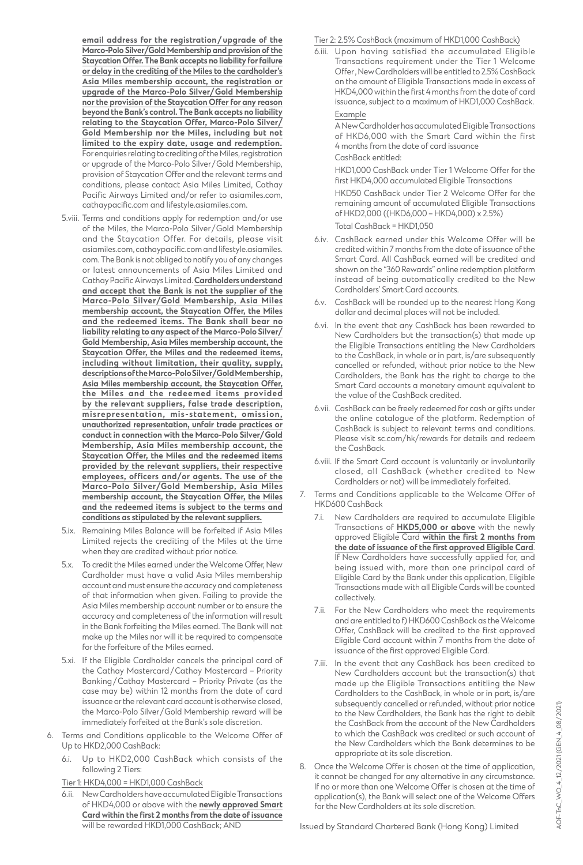**email address for the registration /upgrade of the Marco-Polo Silver/Gold Membership and provision of the Staycation Offer. The Bank accepts no liability for failure or delay in the crediting of the Miles to the cardholder's Asia Miles membership account, the registration or upgrade of the Marco-Polo Silver/Gold Membership nor the provision of the Staycation Offer for any reason beyond the Bank's control. The Bank accepts no liability relating to the Staycation Offer, Marco-Polo Silver/ Gold Membership nor the Miles, including but not limited to the expiry date, usage and redemption.** For enquiries relating to crediting of the Miles, registration or upgrade of the Marco-Polo Silver/Gold Membership, provision of Staycation Offer and the relevant terms and conditions, please contact Asia Miles Limited, Cathay Pacific Airways Limited and/or refer to asiamiles.com, cathaypacific.com and lifestyle.asiamiles.com.

- 5.viii. Terms and conditions apply for redemption and/or use of the Miles, the Marco-Polo Silver/Gold Membership and the Staycation Offer. For details, please visit asiamiles.com, cathaypacific.comandlifestyle.asiamiles. com. The Bank is not obliged to notify you of any changes or latest announcements of Asia Miles Limited and Cathay Pacific Airways Limited.**Cardholders understand and accept that the Bank is not the supplier of the Marco-Polo Silver/Gold Membership, Asia Miles membership account, the Staycation Offer, the Miles and the redeemed items. The Bank shall bear no liability relating to any aspect of the Marco-Polo Silver/ Gold Membership, Asia Miles membership account, the Staycation Offer, the Miles and the redeemed items, including without limitation, their quality, supply, descriptions of the Marco-Polo Silver/Gold Membership, Asia Miles membership account, the Staycation Offer, the Miles and the redeemed items provided by the relevant suppliers, false trade description, misrepresentation, mis-statement, omission, unauthorized representation, unfair trade practices or conduct in connection with the Marco-Polo Silver/Gold Membership, Asia Miles membership account, the Staycation Offer, the Miles and the redeemed items provided by the relevant suppliers, their respective employees, officers and/or agents. The use of the Marco-Polo Silver/Gold Membership, Asia Miles membership account, the Staycation Offer, the Miles and the redeemed items is subject to the terms and conditions as stipulated by the relevant suppliers.**
- 5.ix. Remaining Miles Balance will be forfeited if Asia Miles Limited rejects the crediting of the Miles at the time when they are credited without prior notice.
- 5.x. To credit the Miles earned under the Welcome Offer, New Cardholder must have a valid Asia Miles membership account and must ensure the accuracy and completeness of that information when given. Failing to provide the Asia Miles membership account number or to ensure the accuracy and completeness of the information will result in the Bank forfeiting the Miles earned. The Bank will not make up the Miles nor will it be required to compensate for the forfeiture of the Miles earned.
- 5.xi. If the Eligible Cardholder cancels the principal card of the Cathay Mastercard/Cathay Mastercard – Priority Banking/Cathay Mastercard – Priority Private (as the case may be) within 12 months from the date of card issuance or the relevant card account is otherwise closed, the Marco-Polo Silver/Gold Membership reward will be immediately forfeited at the Bank's sole discretion.
- Terms and Conditions applicable to the Welcome Offer of Up to HKD2,000 CashBack:
	- 6.i. Up to HKD2,000 CashBack which consists of the following 2 Tiers:

Tier 1: HKD4,000 = HKD1,000 CashBack

6.ii. New Cardholders have accumulated Eligible Transactions of HKD4,000 or above with the **newly approved Smart Card within the first 2 months from the date of issuance** will be rewarded HKD1,000 CashBack; AND

### Tier 2: 2.5% CashBack (maximum of HKD1,000 CashBack)

6.iii. Upon having satisfied the accumulated Eligible Transactions requirement under the Tier 1 Welcome Offer, New Cardholders will be entitled to 2.5% CashBack on the amount of Eligible Transactions made in excess of HKD4,000 within the first 4 months from the date of card issuance, subject to a maximum of HKD1,000 CashBack. Example

ANewCardholderhasaccumulatedEligibleTransactions of HKD6,000 with the Smart Card within the first 4 months from the date of card issuance CashBack entitled:

HKD1,000 CashBack under Tier 1 Welcome Offer for the first HKD4,000 accumulated Eligible Transactions

HKD50 CashBack under Tier 2 Welcome Offer for the remaining amount of accumulated Eligible Transactions of HKD2,000 ((HKD6,000 – HKD4,000) x 2.5%)

Total CashBack = HKD1,050

- 6.iv. CashBack earned under this Welcome Offer will be credited within 7 months from the date of issuance of the Smart Card. All CashBack earned will be credited and shown on the "360 Rewards" online redemption platform instead of being automatically credited to the New Cardholders' Smart Card accounts.
- 6.v. CashBack will be rounded up to the nearest Hong Kong dollar and decimal places will not be included.
- 6.vi. In the event that any CashBack has been rewarded to New Cardholders but the transaction(s) that made up the Eligible Transactions entitling the New Cardholders to the CashBack, in whole or in part, is/are subsequently cancelled or refunded, without prior notice to the New Cardholders, the Bank has the right to charge to the Smart Card accounts a monetary amount equivalent to the value of the CashBack credited.
- 6.vii. CashBack can be freely redeemed for cash or gifts under the online catalogue of the platform. Redemption of CashBack is subject to relevant terms and conditions. Please visit sc.com/hk/rewards for details and redeem the CashBack.
- 6.viii. If the Smart Card account is voluntarily or involuntarily closed, all CashBack (whether credited to New Cardholders or not) will be immediately forfeited.
- 7. Terms and Conditions applicable to the Welcome Offer of HKD600 CashBack
	- 7.i. New Cardholders are required to accumulate Eligible Transactions of **HKD5,000 or above** with the newly approved Eligible Card **within the first 2 months from the date of issuance of the first approved Eligible Card**. If New Cardholders have successfully applied for, and being issued with, more than one principal card of Eligible Card by the Bank under this application, Eligible Transactions made with all Eligible Cards will be counted collectively.
	- 7.ii. For the New Cardholders who meet the requirements and are entitled to f) HKD600 CashBack as the Welcome Offer, CashBack will be credited to the first approved Eligible Card account within 7 months from the date of issuance of the first approved Eligible Card.
	- 7.iii. In the event that any CashBack has been credited to New Cardholders account but the transaction(s) that made up the Eligible Transactions entitling the New Cardholders to the CashBack, in whole or in part, is/are subsequently cancelled or refunded, without prior notice to the New Cardholders, the Bank has the right to debit the CashBack from the account of the New Cardholders to which the CashBack was credited or such account of the New Cardholders which the Bank determines to be appropriate at its sole discretion.
- 8. Once the Welcome Offer is chosen at the time of application, it cannot be changed for any alternative in any circumstance. If no or more than one Welcome Offer is chosen at the time of application(s), the Bank will select one of the Welcome Offers for the New Cardholders at its sole discretion.

40F-TnC\_WO\_4\_12/2021 (GEN\_4\_08/2021) AOF-TnC\_WO\_4\_12/2021 (GEN\_4\_08/2021)

Issued by Standard Chartered Bank (Hong Kong) Limited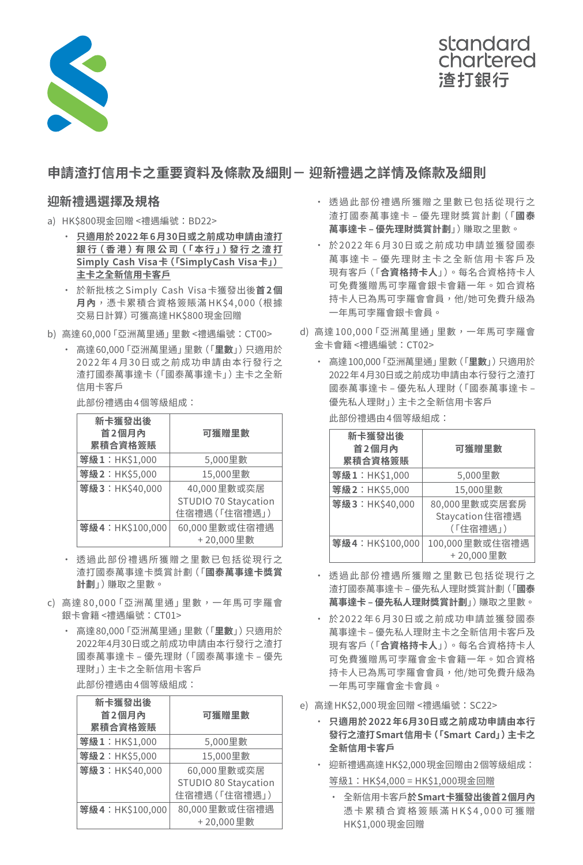

# standard chartered 渣打銀行

# **申請渣打信用卡之重要資料及條款及細則- 迎新禮遇之詳情及條款及細則**

## **迎新禮遇選擇及規格**

- a) HK\$800現金回贈 <禮遇編號:BD22>
	- • **只適用於2022年6月30日或之前成功申請由渣打 銀 行(香港 )有限公 司(「本行」)發行之渣打 Simply Cash Visa卡(「SimplyCash Visa卡」) 主卡之全新信用卡客戶**
	- • 於新批核之 Simply Cash Visa卡獲發出後**首2個 月內**,憑卡累積合資格簽賬滿 HK\$4,000(根據 交易日計算)可獲高達HK\$800現金回贈
- b) 高達 60,000「亞洲萬里通」里數 <禮遇編號:CT00>
	- • 高達60,000「亞洲萬里通」里數(「**里數**」)只適用於 2022年4月30日或之前成功申請由本行發行之 渣打國泰萬事達卡(「國泰萬事達卡」)主卡之全新 信用卡客戶

 此部份禮遇由4個等級組成:

| 新卡獲發出後<br>首2個月內<br>累積合資格簽賬 | 可獲贈里數                                                |  |
|----------------------------|------------------------------------------------------|--|
| 等級1:HK\$1,000              | 5,000里數                                              |  |
| 等級2:HK\$5,000              | 15,000里數                                             |  |
| 等級3:HK\$40,000             | 40,000里數或奕居<br>STUDIO 70 Staycation<br>住宿禮遇 (「住宿禮遇」) |  |
| 等級4:HK\$100,000            | 60,000里數或住宿禮遇<br>+20,000里數                           |  |

- • 透過此部份禮遇所獲贈之里數已包括從現行之 渣打國泰萬事達卡獎賞計劃(「**國泰萬事達卡獎賞 計劃**」)賺取之里數。
- c) 高達 80,000「亞洲萬里通」里數,一年馬可孛羅會 銀卡會籍 <禮遇編號:CT01>
	- • 高達80,000「亞洲萬里通」里數(「**里數**」)只適用於 2022年4月30日或之前成功申請由本行發行之渣打 國泰萬事達卡 – 優先理財(「國泰萬事達卡 – 優先 理財」)主卡之全新信用卡客戶

 此部份禮遇由4個等級組成:

| 新卡獲發出後<br>首2個月內<br>累積合資格簽賬 | 可獲贈里數                |  |
|----------------------------|----------------------|--|
| 等級1:HK\$1,000              | 5,000里數              |  |
| 等級2:HK\$5,000              | 15,000里數             |  |
| 等級3:HK\$40,000             | 60,000里數或奕居          |  |
|                            | STUDIO 80 Staycation |  |
|                            | 住宿禮遇 (「住宿禮遇」)        |  |
| 等級4:HK\$100,000            | 80,000里數或住宿禮遇        |  |
|                            | +20,000里數            |  |

- • 透過此部份禮遇所獲贈之里數已包括從現行之 渣打國泰萬事達卡 – 優先理財獎賞計劃(「**國泰 萬事達卡 – 優先理財獎賞計劃**」)賺取之里數。
- • 於2022 年 6 月30日或之前成功申請並獲發國泰 萬事達卡 – 優先理財主卡之全新信用卡客戶及 現有客戶(「**合資格持卡人**」)。每名合資格持卡人 可免費獲贈馬可孛羅會銀卡會籍一年。如合資格 持卡人已為馬可孛羅會會員,他/她可免費升級為 一年馬可孛羅會銀卡會員。
- d) 高達 100,000 「亞洲萬里通」 里數, 一年馬可孛羅會 金卡會籍 <禮遇編號:CT02>
	- • 高達100,000「亞洲萬里通」里數(「**里數**」)只適用於 2022年4月30日或之前成功申請由本行發行之渣打 國泰萬事達卡 – 優先私人理財(「國泰萬事達卡 – 優先私人理財」)主卡之全新信用卡客戶

 此部份禮遇由4個等級組成:

| 新卡獲發出後<br>首2個月內<br>累積合資格簽賬 | 可獲贈里數                                        |  |
|----------------------------|----------------------------------------------|--|
| 等級1:HK\$1,000              | 5,000里數                                      |  |
| 等級2:HK\$5,000              | 15,000里數                                     |  |
| 等級3:HK\$40,000             | 80,000里數或奕居套房<br>Staycation 住宿禮遇<br>(「住宿禮遇」) |  |
| 等級4:HK\$100,000            | 100,000里數或住宿禮遇<br>+20,000里數                  |  |

- • 透過此部份禮遇所獲贈之里數已包括從現行之 渣打國泰萬事達卡 – 優先私人理財獎賞計劃(「**國泰 萬事達卡 – 優先私人理財獎賞計劃**」)賺取之里數。
- • 於2022 年 6 月30日或之前成功申請並獲發國泰 萬事達卡 – 優先私人理財主卡之全新信用卡客戶及 現有客戶(「**合資格持卡人**」)。每名合資格持卡人 可免費獲贈馬可孛羅會金卡會籍一年。如合資格 持卡人已為馬可孛羅會會員,他/她可免費升級為 一年馬可孛羅會金卡會員。
- e) 高達HK\$2,000現金回贈 <禮遇編號:SC22>
	- • **只適用於2022年6月30日或之前成功申請由本行 發行之渣打Smart信用卡(「Smart Card」)主卡之 全新信用卡客戶**
	- • 迎新禮遇高達HK\$2,000現金回贈由2個等級組成:

等級1:HK\$4,000 = HK\$1,000現金回贈

• 全新信用卡客戶**於Smart卡獲發出後首2個月內** 憑卡累積合資格簽賬滿HK\$4,000可獲贈 HK\$1,000現金回贈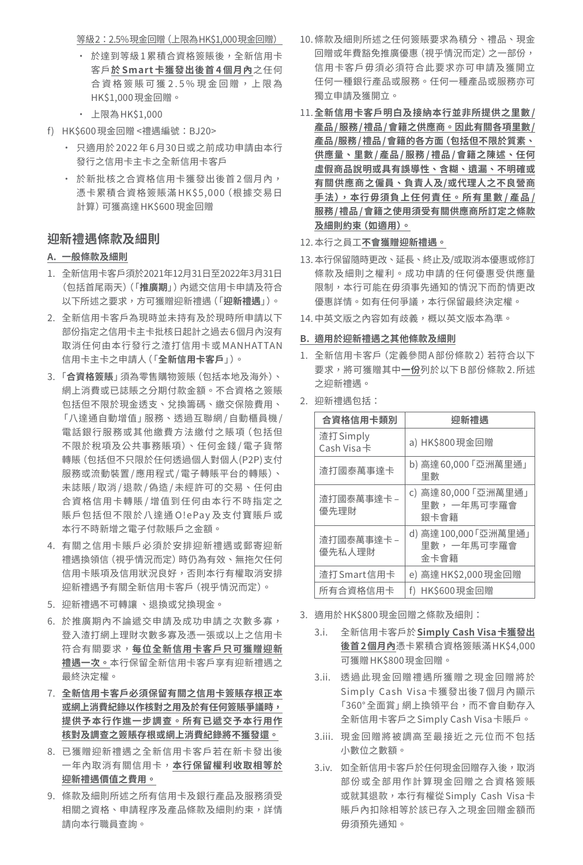等級2:2.5%現金回贈(上限為HK\$1,000現金回贈)

- 於達到等級1累積合資格簽賬後,全新信用卡 客戶**於 Smart 卡獲發出後首 4 個月內**之任何 合資格簽賬可獲2.5%現金回贈,上限為 HK\$1,000現金回贈。
- • 上限為HK\$1,000
- f) HK\$600現金回贈 <禮遇編號:BJ20>
	- • 只適用於 2022年 6月30日或之前成功申請由本行 發行之信用卡主卡之全新信用卡客戶
	- 於新批核之合資格信用卡獲發出後首2個月內, 憑卡累積合資格簽賬滿 HK\$5,000(根據交易日 計算)可獲高達HK\$600現金回贈

# **迎新禮遇條款及細則**

### **A. 一般條款及細則**

- 1. 全新信用卡客戶須於2021年12月31日至2022年3月31日 (包括首尾兩天)(「**推廣期**」)內遞交信用卡申請及符合 以下所述之要求,方可獲贈迎新禮遇(「**迎新禮遇**」)。
- 2. 全新信用卡客戶為現時並未持有及於現時所申請以下 部份指定之信用卡主卡批核日起計之過去6個月內沒有 取消任何由本行發行之渣打信用卡或 MANHATTAN 信用卡主卡之申請人(「**全新信用卡客戶**」)。
- 3. 「**合資格簽賬**」須為零售購物簽賬(包括本地及海外)、 網上消費或已誌賬之分期付款金額。不合資格之簽賬 包括但不限於現金透支、兌換籌碼、繳交保險費用、 「八達通自動增值」服務、透過互聯網 /自動櫃員機 / 電話銀行服務或其他繳費方法繳付之賬項(包括但 不限於稅項及公共事務賬項)、任何金錢 / 電子貨幣 轉賬(包括但不只限於任何透過個人對個人(P2P)支付 服務或流動裝置 /應用程式 /電子轉賬平台的轉賬)、 未誌賬 /取消 /退款 /偽造 /未經許可的交易、任何由 合資格信用卡轉賬 /增值到任何由本行不時指定之 賬戶包括但不限於八達通 O!ePay及支付寶賬戶或 本行不時新增之電子付款賬戶之金額。
- 4. 有關之信用卡賬戶必須於安排迎新禮遇或郵寄迎新 禮遇換領信(視乎情況而定)時仍為有效、無拖欠任何 信用卡賬項及信用狀況良好,否則本行有權取消安排 迎新禮遇予有關全新信用卡客戶(視乎情況而定)。
- 5. 迎新禮遇不可轉讓 、退換或兌換現金。
- 6. 於推廣期內不論遞交申請及成功申請之次數多寡, 登入渣打網上理財次數多寡及憑一張或以上之信用卡 符合有關要求,**每位全新信用卡客戶只可獲贈迎新 禮遇一次。**本行保留全新信用卡客戶享有迎新禮遇之 最終決定權。
- 7. **全新信用卡客戶必須保留有關之信用卡簽賬存根正本 或網上消費紀錄以作核對之用及於有任何簽賬爭議時, 提供予本行作進一步調查。所有已遞交予本行用作 核對及調查之簽賬存根或網上消費紀錄將不獲發還。**
- 8. 已獲贈迎新禮遇之全新信用卡客戶若在新卡發出後 一年內取消有關信用卡,**本行保留權利收取相等於 迎新禮遇價值之費用。**
- 9. 條款及細則所述之所有信用卡及銀行產品及服務須受 相關之資格、申請程序及產品條款及細則約束,詳情 請向本行職員查詢。
- 10.條款及細則所述之任何簽賬要求為積分、禮品、現金 回贈或年費豁免推廣優惠(視乎情況而定)之一部份, 信用卡客戶毋須必須符合此要求亦可申請及獲開立 任何一種銀行產品或服務。任何一種產品或服務亦可 獨立申請及獲開立。
- 11. **全新信用卡客戶明白及接納本行並非所提供之里數/ 產品 /服務 /禮品 /會籍之供應商。因此有關各項里數 / 產品/服務 /禮品 /會籍的各方面(包括但不限於質素、 供應量、里數 /產品 /服務 /禮品 /會籍之陳述、任何 虛假商品說明或具有誤導性、含糊、遺漏、不明確或 有關供應商之僱員、負責人及/或代理人之不良營商 手法),本行毋須負上任何責任。所有里數 / 產品 / 服務 /禮品 /會籍之使用須受有關供應商所訂定之條款 及細則約束(如適用)。**

### 12. 本行之員工**不會獲贈迎新禮遇。**

- 13. 本行保留隨時更改、延長、終止及/或取消本優惠或修訂 條款及細則之權利。成功申請的任何優惠受供應量 限制,本行可能在毋須事先通知的情況下而酌情更改 優惠詳情。如有任何爭議,本行保留最終決定權。
- 14. 中英文版之內容如有歧義, 概以英文版本為準。

### **B. 適用於迎新禮遇之其他條款及細則**

- 1. 全新信用卡客戶 (定義參閣 A部份條款 2) 若符合以下 要求,將可獲贈其中**一份**列於以下B部份條款2.所述 之迎新禮遇。
- 2. 迎新禮遇包括:

| 合資格信用卡類別                | 抑新禮遇                                       |
|-------------------------|--------------------------------------------|
| 渣打 Simply<br>Cash Visa卡 | a) HK\$800 現金回贈                            |
| 渣打國泰萬事達卡                | b) 高達60,000 「亞洲萬里通」<br>里數                  |
| 渣打國泰萬事達卡 –<br>優先理財      | c) 高達80,000「亞洲萬里通」<br>里數, 一年馬可孛羅會<br>銀卡會籍  |
| 渣打國泰萬事達卡 –<br>優先私人理財    | d) 高達100,000「亞洲萬里通」<br>里數, 一年馬可孛羅會<br>金卡會籍 |
| 渣打Smart信用卡              | e) 高達 HK\$2,000 現金回贈                       |
| 所有合資格信用卡                | f) HK\$600現金回贈                             |

- 3. 適用於HK\$800現金回贈之條款及細則:
	- 3.i. 全新信用卡客戶於**Simply Cash Visa卡獲發出 後首 2個月內**憑卡累積合資格簽賬滿HK\$4,000 可獲贈HK\$800現金回贈。
	- 3.ii. 透過此現金回贈禮遇所獲贈之現金回贈將於 Simply Cash Visa卡獲發出後7個月內顯示 「360°全面賞」網上換領平台,而不會自動存入 全新信用卡客戶之Simply Cash Visa卡賬戶。
	- 3.iii. 現金回贈將被調高至最接近之元位而不包括 小數位之數額。
	- 3.iv. 如全新信用卡客戶於任何現金回贈存入後,取消 部份或全部用作計算現金回贈之合資格簽賬 或就其退款,本行有權從Simply Cash Visa卡 賬戶內扣除相等於該已存入之現金回贈金額而 毋須預先通知。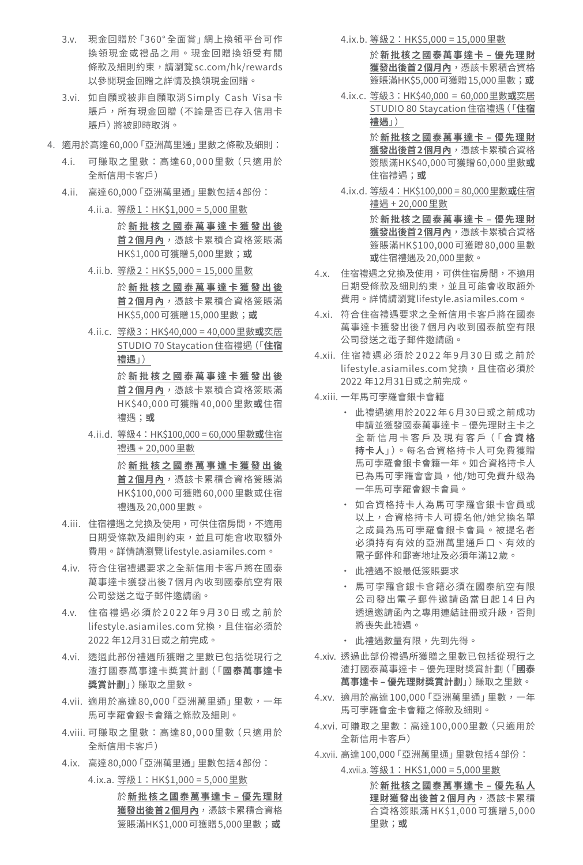- 3.v. 現金回贈於「360° 全面賞」網上換領平台可作 換領現金或禮品之用。現金回贈換領受有關 條款及細則約束,請瀏覽 sc.com/hk/rewards 以參閱現金回贈之詳情及換領現金回贈。
- 3.vi. 如自願或被非自願取消 Simply Cash Visa卡 賬戶,所有現金回贈(不論是否已存入信用卡 賬戶)將被即時取消。
- 4. 適用於高達60,000「亞洲萬里通」里數之條款及細則:
	- 4.i. 可賺取之里數:高達60,000里數(只適用於 全新信用卡客戶)
	- 4.ii. 高達 60,000 「亞洲萬里通」 里數包括 4部份: 4.ii.a. 等級1:HK\$1,000 = 5,000里數
		- 於 **新批核之國泰萬事達卡獲發出後 首 2 個月內**,憑該卡累積合資格簽賬滿 HK\$1,000可獲贈5,000里數;**或**
		- 4.ii.b. 等級2:HK\$5,000 = 15,000里數 於 **新批核之國泰萬事達卡獲發出後 首 2 個月內**,憑該卡累積合資格簽賬滿 HK\$5,000可獲贈15,000里數;**或**
		- 4.ii.c. 等級3:HK\$40,000 = 40,000里數**或**奕居 STUDIO 70 Staycation住宿禮遇(「**住宿 禮遇**」)

於 **新批核之國泰萬事達卡獲發出後 首 2 個月內**,憑該卡累積合資格簽賬滿 HK\$40,000 可獲贈 40,000 里數**或**住宿 禮遇;**或**

4.ii.d. 等級4:HK\$100,000 = 60,000里數**或**住宿 禮遇 + 20,000里數

> 於 **新批核之國泰萬事達卡獲發出後 首 2 個月內**,憑該卡累積合資格簽賬滿 HK\$100,000可獲贈60,000里數或住宿 禮遇及20,000里數。

- 4.iii. 住宿禮遇之兌換及使用,可供住宿房間,不適用 日期受條款及細則約束,並且可能會收取額外 費用。詳情請瀏覽lifestyle.asiamiles.com。
- 4.iv. 符合住宿禮遇要求之全新信用卡客戶將在國泰 萬事達卡獲發出後7個月內收到國泰航空有限 公司發送之電子郵件邀請函。
- 4.v. 住宿禮遇必須於 2022年 9月 30 日或之前於 lifestyle.asiamiles.com兌換,且住宿必須於 2022 年12月31日或之前完成。
- 4.vi. 透過此部份禮遇所獲贈之里數已包括從現行之 渣打國泰萬事達卡獎賞計劃(「**國泰萬事達卡 獎賞計劃**」)賺取之里數。
- 4.vii. 適用於高達 80,000 「亞洲萬里通」 里數, 一年 馬可孛羅會銀卡會籍之條款及細則。
- 4.viii. 可賺取之里數:高達80,000里數(只適用於 全新信用卡客戶)
- 4.ix. 高達 80,000 「亞洲萬里通」 里數包括 4 部份:

4.ix.a. 等級1:HK\$1,000 = 5,000里數 於**新批核之國泰萬事達卡 – 優先理財 獲發出後首2個月內**,憑該卡累積合資格 簽賬滿HK\$1,000可獲贈5,000里數;**或**

4.ix.b. 等級2:HK\$5,000 = 15,000里數

- 於**新批核之國泰萬事達卡 – 優先理財 獲發出後首2個月內**,憑該卡累積合資格 簽賬滿HK\$5,000可獲贈15,000里數;**或**
- 4.ix.c. 等級3:HK\$40,000 = 60,000里數**或**奕居 STUDIO 80 Staycation住宿禮遇(「**住宿 禮遇**」)

於**新批核之國泰萬事達卡 – 優先理財 獲發出後首2個月內**,憑該卡累積合資格 簽賬滿HK\$40,000可獲贈60,000里數**或** 住宿禮遇;**或**

- 4.ix.d. 等級4:HK\$100,000 = 80,000里數**或**住宿 禮遇 + 20,000里數 於**新批核之國泰萬事達卡 – 優先理財 獲發出後首2個月內**,憑該卡累積合資格 簽賬滿HK\$100,000可獲贈80,000里數 **或**住宿禮遇及20,000里數。
- 4.x. 住宿禮遇之兌換及使用,可供住宿房間,不適用 日期受條款及細則約束,並且可能會收取額外 費用。詳情請瀏覽lifestyle.asiamiles.com。
- 4.xi. 符合住宿禮遇要求之全新信用卡客戶將在國泰 萬事達卡獲發出後7個月內收到國泰航空有限 公司發送之電子郵件邀請函。
- 4.xii. 住宿禮遇必須於 2022 年 9月 3 0 日或之前於 lifestyle.asiamiles.com兌換,且住宿必須於 2022 年12月31日或之前完成。
- 4.xiii. 一年馬可孛羅會銀卡會籍
	- • 此禮遇適用於2022年 6月30日或之前成功 申請並獲發國泰萬事達卡 – 優先理財主卡之 全 新 信 用 卡 客 戶 及 現 有 客 戶(「 **合資格 持卡人**」)。每名合資格持卡人可免費獲贈 馬可孛羅會銀卡會籍一年。如合資格持卡人 已為馬可孛羅會會員,他/她可免費升級為 一年馬可孛羅會銀卡會員。
	- • 如合資格持卡人為馬可孛羅會銀卡會員或 以上,合資格持卡人可提名他/她兌換名單 之成員為馬可孛羅會銀卡會員。被提名者 必須持有有效的亞洲萬里通戶口、有效的 電子郵件和郵寄地址及必須年滿12歲。
	- • 此禮遇不設最低簽賬要求
	- • 馬可孛羅會銀卡會籍必須在國泰航空有限 公司發出電子郵件邀請函當日起14日內 透過邀請函內之專用連結註冊或升級,否則 將喪失此禮遇。
	- • 此禮遇數量有限,先到先得。
- 4.xiv. 透過此部份禮遇所獲贈之里數已包括從現行之 渣打國泰萬事達卡 – 優先理財獎賞計劃(「**國泰 萬事達卡 – 優先理財獎賞計劃**」)賺取之里數。
- 4.xv. 適用於高達 100,000 「亞洲萬里通」 里數, 一年 馬可孛羅會金卡會籍之條款及細則。
- 4.xvi. 可賺取之里數:高達100,000里數(只適用於 全新信用卡客戶)
- 4.xvii. 高達 100,000 「亞洲萬里通」 里數包括 4部份:

4.xvii.a. 等級1:HK\$1,000 = 5,000里數

於**新批核之國泰萬事達卡 – 優先私人 理財獲發出後首 2 個月內**,憑該卡累積 合資格簽賬滿 HK\$1,000 可獲贈 5,000 里數;**或**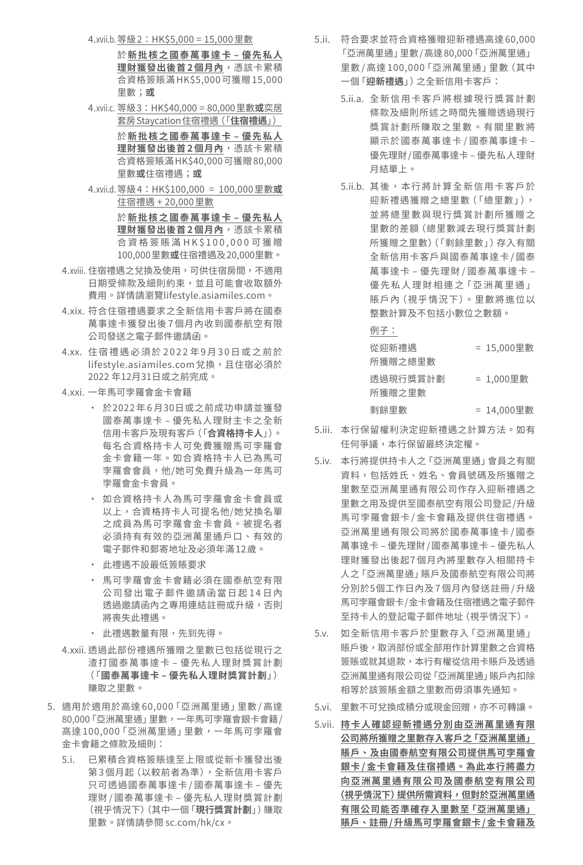- 4.xvii.b.等級2:HK\$5,000 = 15,000里數
	- 於**新批核之國泰萬事達卡 – 優先私人 理財獲發出後首 2 個月內**,憑該卡累積 合資格簽賬滿HK\$5,000可獲贈15,000 里數;**或**
- 4.xvii.c. 等級3:HK\$40,000 = 80,000里數**或**奕居 套房Staycation住宿禮遇(「**住宿禮遇**」) 於**新批核之國泰萬事達卡 – 優先私人**

**理財獲發出後首 2 個月內**,憑該卡累積 合資格簽賬滿HK\$40,000可獲贈80,000 里數**或**住宿禮遇;**或**

- 4.xvii.d.等級4:HK\$100,000 = 100,000里數**或** 住宿禮遇 + 20,000里數 於**新批核之國泰萬事達卡 – 優先私人 理財獲發出後首 2 個月內**,憑該卡累積 合資格簽賬 滿 HK\$100,00 0 可 獲 贈 100,000里數**或**住宿禮遇及20,000里數。
- 4.xviii. 住宿禮遇之兌換及使用, 可供住宿房間, 不適用 日期受條款及細則約束,並且可能會收取額外 費用。詳情請瀏覽lifestyle.asiamiles.com。
- 4.xix. 符合住宿禮遇要求之全新信用卡客戶將在國泰 萬事達卡獲發出後7個月內收到國泰航空有限 公司發送之電子郵件邀請函。
- 4.xx. 住宿禮遇必須於 2022年9月30日或之前於 lifestyle.asiamiles.com兌換,且住宿必須於 2022 年12月31日或之前完成。
- 4.xxi. 一年馬可孛羅會金卡會籍
	- • 於2022年 6月30日或之前成功申請並獲發 國泰萬事達卡 – 優先私人理財主卡之全新 信用卡客戶及現有客戶(「**合資格持卡人**」)。 每名合資格持卡人可免費獲贈馬可孛羅會 金卡會籍一年。如合資格持卡人已為馬可 孛羅會會員,他/她可免費升級為一年馬可 孛羅會金卡會員。
	- • 如合資格持卡人為馬可孛羅會金卡會員或 以上,合資格持卡人可提名他/她兌換名單 之成員為馬可孛羅會金卡會員。被提名者 必須持有有效的亞洲萬里通戶口、有效的 電子郵件和郵寄地址及必須年滿12歲。
	- • 此禮遇不設最低簽賬要求
	- • 馬可孛羅會金卡會籍必須在國泰航空有限 公司發出電子郵件邀請函當日起14日內 透過邀請函內之專用連結註冊或升級,否則 將喪失此禮遇。
	- • 此禮遇數量有限,先到先得。
- 4.xxii. 透過此部份禮遇所獲贈之里數已包括從現行之 渣打國泰萬事達卡 – 優先私人理財獎賞計劃 (「**國泰萬事達卡 – 優先私人理財獎賞計劃**」) 賺取之里數。
- 5. 適用於適用於高達 60,000「亞洲萬里通」里數 / 高達 80,000「亞洲萬里通」里數,一年馬可孛羅會銀卡會籍/ 高達 100,000「亞洲萬里通」里數,一年馬可孛羅會 金卡會籍之條款及細則:
	- 5.i. 已累積合資格簽賬達至上限或從新卡獲發出後 第 3個月起(以較前者為準),全新信用卡客戶 只可透過國泰萬事達卡 /國泰萬事達卡 – 優先 理財 /國泰萬事達卡 – 優先私人理財獎賞計劃 (視乎情況下)(其中一個「**現行獎賞計劃**」)賺取 里數。詳情請參閱 sc.com/hk/cx。
- 5.ii. 符合要求並符合資格獲贈迎新禮遇高達 60,000 「亞洲萬里通」里數 /高達80,000「亞洲萬里通」 里數 / 高達 100,000「亞洲萬里通」里數(其中 一個「**迎新禮遇**」)之全新信用卡客戶:
	- 5.ii.a. 全新信用卡客戶將根據現行獎賞計劃 條款及細則所述之時間先獲贈透過現行 獎賞計劃所賺取之里數。有關里數將 顯示於國泰萬事達卡 / 國泰萬事達卡 – 優先理財 /國泰萬事達卡 – 優先私人理財 月結單上。
	- 5.ji.b. 其後,本行將計算全新信用卡客戶於 迎新禮遇獲贈之總里數(「總里數」), 並將總里數與現行獎賞計劃所獲贈之 里數的差額(總里數減去現行獎賞計劃 所獲贈之里數)(「剩餘里數」)存入有關 全新信用卡客戶與國泰萬事達卡 /國泰 萬事達卡 – 優先理財 /國泰萬事達卡 – 優先私人理財相連之「亞洲萬里通」 賬戶內(視乎情況下)。里數將進位以 整數計算及不包括小數位之數額。

例子:

| 從迎新禮遇    | = 15,000里數 |
|----------|------------|
| 所獲贈之總里數  |            |
| 诱猧現行獎嘗計劃 | = 1,000里數  |
| 所獲贈之里數   |            |
| 剩餘里數     | = 14,000里數 |

- 5.iii. 本行保留權利決定迎新禮遇之計算方法。如有 任何爭議,本行保留最終決定權。
- 5.iv. 本行將提供持卡人之「亞洲萬里通」會員之有關 資料,包括姓氏、姓名、會員號碼及所獲贈之 里數至亞洲萬里通有限公司作存入迎新禮遇之 里數之用及提供至國泰航空有限公司登記 /升級 馬可孛羅會銀卡 / 金卡會籍及提供住宿禮遇。 亞洲萬里通有限公司將於國泰萬事達卡 /國泰 萬事達卡 – 優先理財 /國泰萬事達卡 – 優先私人 理財獲發出後起7個月內將里數存入相關持卡 人之「亞洲萬里通」賬戶及國泰航空有限公司將 分別於5個工作日內及7個月內發送註冊 /升級 馬可孛羅會銀卡/金卡會籍及住宿禮遇之電子郵件 至持卡人的登記電子郵件地址(視乎情況下)。
- 5.v. 如全新信用卡客戶於里數存入「亞洲萬里通」 賬戶後,取消部份或全部用作計算里數之合資格 簽賬或就其退款,本行有權從信用卡賬戶及透過 亞洲萬里通有限公司從「亞洲萬里通」賬戶內扣除 相等於該簽賬金額之里數而毋須事先通知。
- 5.vi. 里數不可兌換成積分或現金回贈,亦不可轉讓。
- 5.vii. **持卡人確認迎新禮遇分別由亞洲萬里通有限 公司將所獲贈之里數存入客戶之「亞洲萬里通」 賬戶、及由國泰航空有限公司提供馬可孛羅會 銀卡 / 金卡會籍及住宿禮遇。為此本行將盡力 向亞洲萬里通有限公司及國泰航空有限公司 (視乎情況下)提供所需資料,但對於亞洲萬里通 有限公司能否準確存入里數至「亞洲萬里通」 賬戶、註冊 /升級馬可孛羅會銀卡 /金卡會籍及**